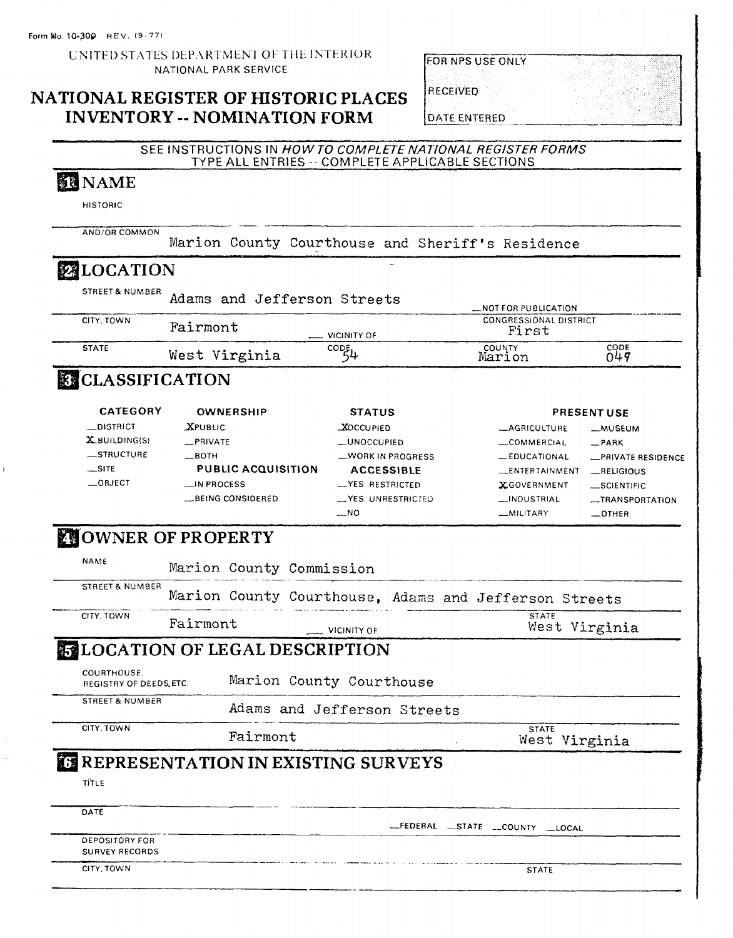#### UNITED STATES DEPARTMENT OF THE INTERIOR NATIONAL PARK SERVICE

## **NATIONAL REGISTER OF HISTORIC PLACES INVENTORY -- NOMINATION FORM**

|  |  | EOR NPS USE ONLY |  |
|--|--|------------------|--|
|  |  |                  |  |

**RECEIVED** 

**DATE ENTERED** 

#### SEE INSTRUCTIONS IN HOW TO COMPLETE NATIONAL REGISTER FORMS TYPE ALL ENTRIES -- COMPLETE APPLICABLE SECTIONS **N** NAME **HISTORIC** AND/OR COMMON Marion County Courthouse and Sheriff's Residence **MILOCATION STREET & NUMBER** Adams and Jefferson Streets NOT FOR PUBLICATION CITY, TOWN **CONGRESSIONAL DISTRICT** Fairmont First **VICINITY OF COUNTY**<br>Marion  $rac{1}{049}$ **STATE**  $\overline{\text{coup}}$ West Virginia **EXCLASSIFICATION CATEGORY OWNERSHIP STATUS PRESENTUSE**  $\_$ DISTRICT **XPUBLIC XOCCUPIED \_AGRICULTURE** -MUSEUM X\_BUILDING(S) \_PRIVATE \_UNOCCUPIED \_COMMERCIAL  $-$ PARK \_STRUCTURE  $-$ BOTH WORK IN PROGRESS EDUCATIONAL **\_PRIVATE RESIDENCE**  $...$ SITE **PUBLIC ACQUISITION ACCESSIBLE** \_ENTERTAINMENT  $RELIGIOUS$  $...$ OBJECT LIN PROCESS \_YES: RESTRICTED **X.GOVERNMENT** \_SCIENTIFIC **\_BEING CONSIDERED** \_VES: UNRESTRICTED \_\_INDUSTRIAL -TRANSPORTATION  $\overline{\phantom{0}}$ NO \_MILITARY  $\_$ OTHER: **NOWNER OF PROPERTY NAME** Marion County Commission STREET & NUMBER Marion County Courthouse, Adams and Jefferson Streets CITY, TOWN **STATE** Fairmont West Virginia VICINITY OF **LOCATION OF LEGAL DESCRIPTION** COURTHOUSE. Marion County Courthouse REGISTRY OF DEEDS, ETC. **STREET & NUMBER** Adams and Jefferson Streets CITY. TOWN **STATE** Fairmont West Virginia **EREPRESENTATION IN EXISTING SURVEYS** TITLE DATE \_FEDERAL \_STATE \_\_COUNTY \_\_LOCAL **DEPOSITORY FOR SURVEY RECORDS** CITY, TOWN **STATE**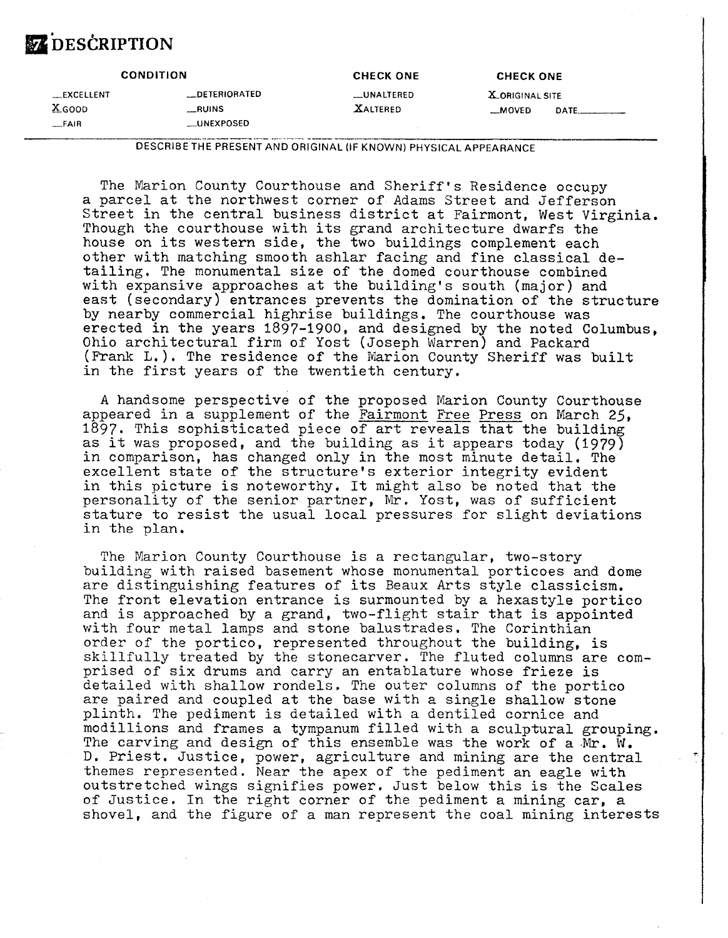# DESCRIPTION

| <b>CONDITION</b>                 |                                          | <b>CHECK ONE</b>                     | <b>CHECK ONE</b>                   |  |  |
|----------------------------------|------------------------------------------|--------------------------------------|------------------------------------|--|--|
| $R$ EXCELLENT<br>X GOOD<br>_FAIR | __DETERIORATED<br>__RUINS<br>__UNEXPOSED | <b>LUNALTERED</b><br><b>XALTERED</b> | <b>X.ORIGINAL SITE</b><br>$-MOVED$ |  |  |

DESCRIBE THE PRESENT AND ORIGINAL (IF KNOWN) PHYSICAL APPEARANCE

The Marion County Courthouse and Sheriff's Residence occupy a parcel at the northwest corner of Adams Street and Jefferson Street in the central business district at Fairmont, West Virginia. Though the courthouse with its grand architecture dwarfs the house on its western side, the two buildings complement each other with matching smooth ashlar facing and fine classical detailing, The monumental size of the domed courthouse combined with expansive approaches at the building's south (major) and east (secondary) entrances prevents the domination of the structure by nearby commercial highrise buildings. The courthouse was erected in the years 1897-1900, and designed by the noted Columbus, Ohio architectural firm of Yost (Joseph warren) and Packard (Frank L.). The residence of the Marion County Sheriff was built in the first years of the twentieth century.

A handsome perspective of the proposed Marion County Courthouse appeared in a supplement of the Fairmont Free Press on March 25, 1897. This sophisticated piece of art reveals that the building as it was proposed, and the building as it appears today (1979) in comparison, has changed only in the most minute detail, The excellent state of the structure's exterior integrity evident in this picture is noteworthy. It might also be noted that the personality of the senior partner, Mr. Yost, was of sufficient stature to resist the usual local pressures for slight deviations in the plan.

The Marion County Courthouse is a rectangular, two-story building with raised basement whose monumental porticoes and dome are distinguishing features of its Beaux Arts style classicism. The front elevation entrance is surmounted by a hexastyle portico and is approached by a grand, two-flight stair that is appointed with four metal lamps and stone balustrades, The Corinthian order of the portico, represented throughout the building, is skillfully treated by the stonecarver. The fluted columns are comprised of six drums and carry an entablature whose frieze is detailed with shallow rondels. Tne outer columns of the portico are paired and coupled at the base with a single shallow stone plinth. The pediment is detailed with a dentiled cornice and modillions and frames a tympanum filled with a sculptural grouping. The carving and design of this ensemble was the work of a  $Mr.$  W. **D.** Priest. Justice, power, agriculture and mining are the central themes represented. Near the apex of the pediment an eagle with outstretched wings signifies power. Just below this is the Scales of Justice. In the right corner of the pediment a mining car, a shovel, and the figure of a man represent the coal mining interests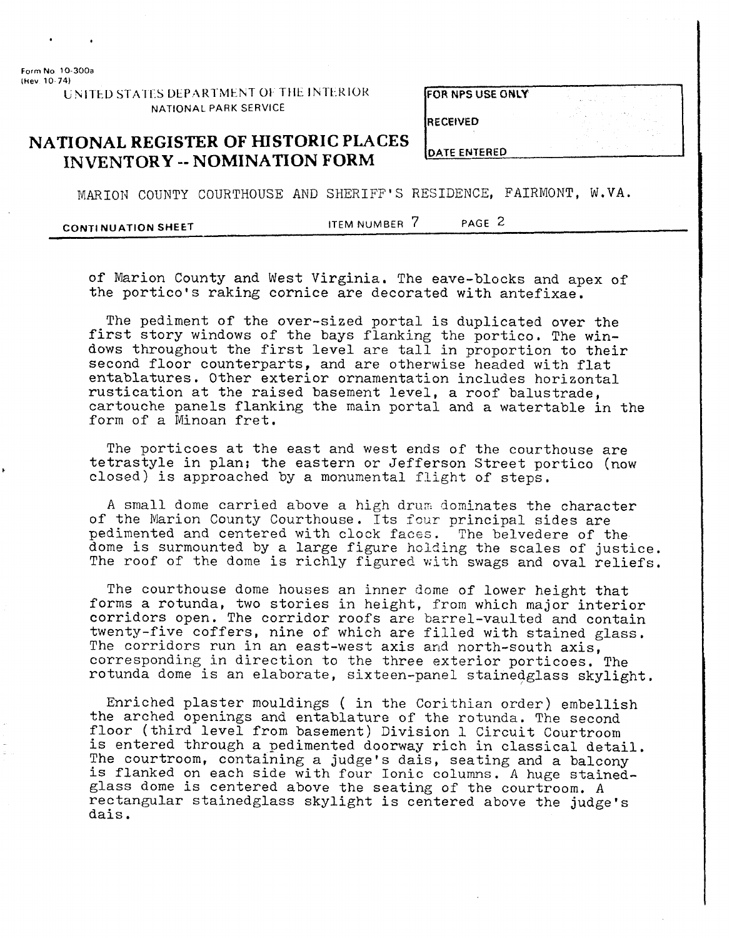**Form No** 10-300a

UNITED STATES DEPARTMENT OF THE INTERIOR NATIONAL PARK SERVICE

**FOR NPS USE ONLY** 

**RECEIVED** 

**DATE ENTERED** 

## **NATIONAL REGISTER OF HISTORIC PLACES INVENTORY** -- **NOMINATION FORM**

MARION COUNTY COURTHOUSE AND SHERIFF'S RESIDENCE. FAIRMONT. W.VA.

**CONTINUATION SHEET ITEM NUMBER 7** PAGE 2

of Marion County and West Virginia. The eave-blocks and apex of the portico's raking cornice are decorated with antefixae.

The pediment of the over-sized portal is duplicated over the first story windows of the bays flanking the portico. The windows throughout the first level are tall in proportion to their second floor counterparts, and are otherwise headed with flat entablatures. Other exterior ornamentation includes horizontal rustication at the raised basement level, a roof balustrade, cartouche panels flanking the main portal and a watertable in the form of a Minoan fret.

The porticoes at the east and west ends of the courthouse are tetrastyle in plan; the eastern or Jefferson Street portico (now closed) is approached by a monumental flight of steps.

A small dome carried above a high drum dominates the character of the Marion County Courthouse. Its four principal sides are pedimented and centered with clock faces. The belvedere of the dome is surmounted by a large figure holding the scales of justice. The roof of the dome is richly figured with swags and oval reliefs.

The courthouse dome houses an inner dome of lower height that forms a rotunda, two stories in height, from which major interior corridors open. The corridor roofs are barrel-vaulted and contain twenty-five coffers, nine of which are filled with stained glass. The corridors run in an east-west axis and north-south axis, corresponding in direction to the three exterior porticoes. The rotunda dome is an elaborate, sixteen-panel stainedglass skylight.

Enriched plaster mouldings ( in the Corithian order) embellish the arched openings and entablature of the rotunda. The second floor (third level from basement) Division 1 Circuit Courtroom is entered through a pedimented doorway rich in classical detail. The courtroom, containing a judge's dais, seating and a balcony is flanked on each side with four Ionic columns. A huge stainedglass dome is centered above the seating of the courtroom. A rectangular stainedglass skylight is centered above the judge's dais,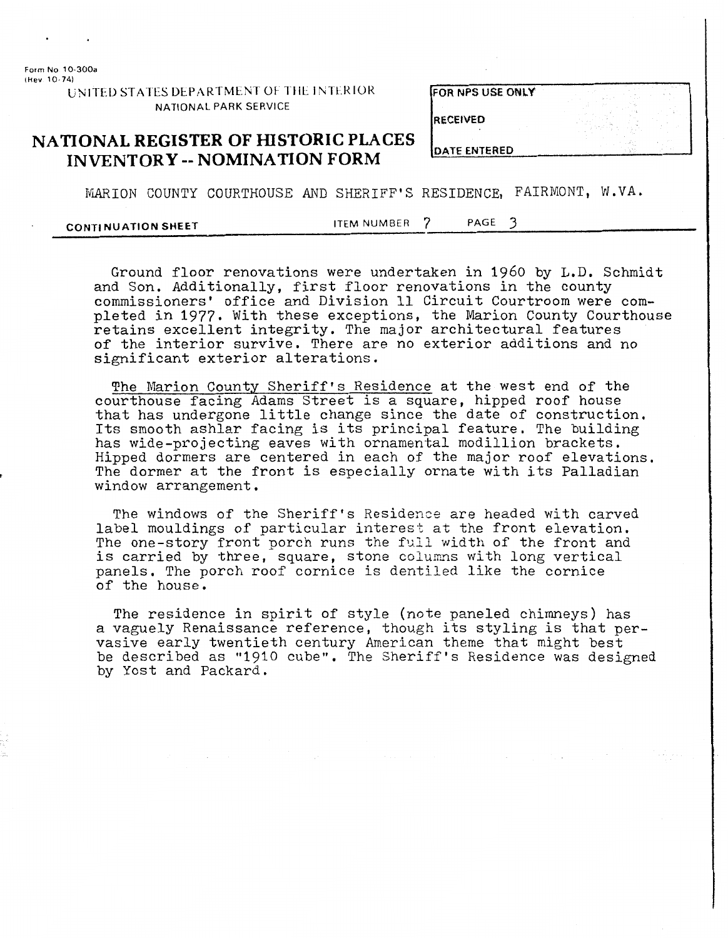**Form No 10-300a lhev 10 741** 

**bINITED STATES DEPARTMENT OF THE INTERIOR** NATIONAL PARK SERVICE

|  |  | FOR NPS USE ONLY . |  |
|--|--|--------------------|--|
|  |  |                    |  |

**RECEIVED** 

## **NATIONAL REGISTER OF HISTORIC PLACES INVENTORY** -- **NOMINATION FORM**

**DATE ENTERED** 

MARION COUNTY COURTHOUSE AND SHERIFF'S RESIDENCE, FAIRMONT, W.VA.

**CONTINUATION SHEET ITEM NUMBER** 7 **PAGE** 3

Ground floor renovations were undertaken in 1960 by L.D. Schmidt and Son. Additionally, first floor renovations in the county commissioners' office and Division 11 Circuit Courtroom were completed in 1977. With these exceptions, the Marion County Courthouse retains excellent integrity. The major architectural features of the interior survive. There are no exterior additions and no significant exterior alterations.

The Marion County Sheriff's Residence at the west end of the courthouse facing Adams Street is a square, hipped roof house that has undergone little change since the date of construction, Its smooth ashlar facing is its principal feature. The building has wide-projecting eaves with ornamental modillion brackets. Hipped dormers are centered in each of the major roof elevations. The dormer at the front is especially ornate with its Palladian window arrangement.

The windows of the Sheriff's Residence are headed with carved label mouldings of particular interest at the front elevation. The one-story front porch runs the full width of the front and is carried by three, square, stone columns with long vertical panels. The porch roof cornice is dentiled like the cornice of the house.

The residence in spirit of style (note paneled chimneys) has a vaguely Renaissance reference, though its styling is that pervasive early twentieth century American theme that might best be described as "1910 cube". The Sheriff's Residence was designed by Yost and Packard,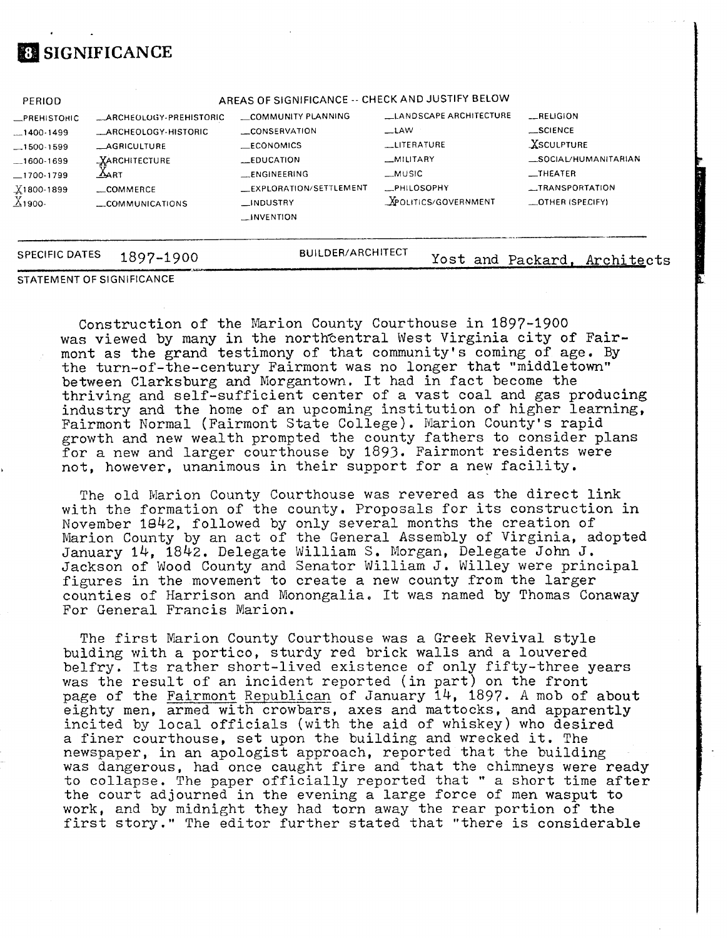## **SIGNIFICANCE**

| <b>PERIOD</b>         |                         | AREAS OF SIGNIFICANCE -- CHECK AND JUSTIFY BELOW |                             |                        |
|-----------------------|-------------------------|--------------------------------------------------|-----------------------------|------------------------|
| _PREHISTORIC          | _ARCHEOLOGY-PREHISTORIC | COMMUNITY PLANNING                               | LANDSCAPE ARCHITECTURE      | $-$ RELIGION           |
| $-1400-1499$          | _ARCHEOLOGY-HISTORIC    | CONSERVATION                                     | $\equiv$ LAW                | $$ SCIENCE             |
| $-1500-1599$          | <b>_AGRICULTURE</b>     | <b>LECONOMICS</b>                                | LITERATURE                  | XSCULPTURE             |
| $-1600 - 1699$        | <b>XARCHITECTURE</b>    | <b>LEDUCATION</b>                                | _MILITARY                   | _SOCIAL/HUMANITARIAN   |
| $-1700-1799$          | $\Delta$ art            | <b>LENGINEERING</b>                              | $_MUSIC$                    | $_{\rm \perp}$ THEATER |
| $X1800-1899$          | COMMERCE                | EXPLORATION/SETTLEMENT                           | <b>ELPHILOSOPHY</b>         | __TRANSPORTATION       |
| $X_1$ 900-            | COMMUNICATIONS          | $\Box$ INDUSTRY<br>$\Box$ INVENTION              | <b>XPOLITICS/GOVERNMENT</b> | _OTHER (SPECIFY)       |
| <b>SPECIFIC DATES</b> | 1897-1900               | <b>BUILDER/ARCHITECT</b>                         | Yost and Packard.           | Architects             |

#### STATEMENT OF SIGNIFICANCE

Construction of the Marion County Courthouse in 1897-1900 was viewed by many in the northcentral West Virginia city of Fairmont as the grand testimony of that community's coming of age. **By**  the turn-of-the-century Fairmont was no longer that "middletown" between Clarksburg and Morgantown. It had in fact become the thriving and self-sufficient center of a vast coal and gas producing industry and the home of an upcoming institution of higher learning, Fairmont Normal (Fairmont State College). Marion County's rapid growth and new wealth prompted the county fathers to consider plans for a new and larger courthouse by 1893. Fairmont residents were not, however, unanimous in their support for a new facility.

The old Marion County Courthouse was revered as the direct link with the formation of the county. Proposals for its construction in November 1842, followed by only several months the creation of Marion County by an act of the General Assembly of Virginia, adopted January 14, 1842. Delegate William S. Morgan, Delegate John J. Jackson of Wood County and Senator William J. Willey were principal figures in the movement to create a new county from the larger counties of Harrison and Monongalia, It was named by Thomas Conaway For General Francis Marion.

The first Marion County Courthouse was a Greek Revival style bulding with a portico, sturdy red brick walls and a louvered belfry, Its rather short-lived existence of only fifty-three years was the result of an incident reported (in part) on the front page of the Fairmont Republican of January 14, 1897. A mob of about eighty men, armed with crowbars, axes and mattocks, and apparently incited by local officials (with the aid of whiskey) who desired a finer courthouse, set upon the building and wrecked it. The newspaper, in an apologist approach, reported that the building was dangerous, had once caught fire and that the chimneys were ready to collapse. The paper officially reported that " a short time after the court adjourned in the evening a large force of men wasput to work, and by midnight they had torn away the rear portion of the first story." The editor further stated that "there is considerable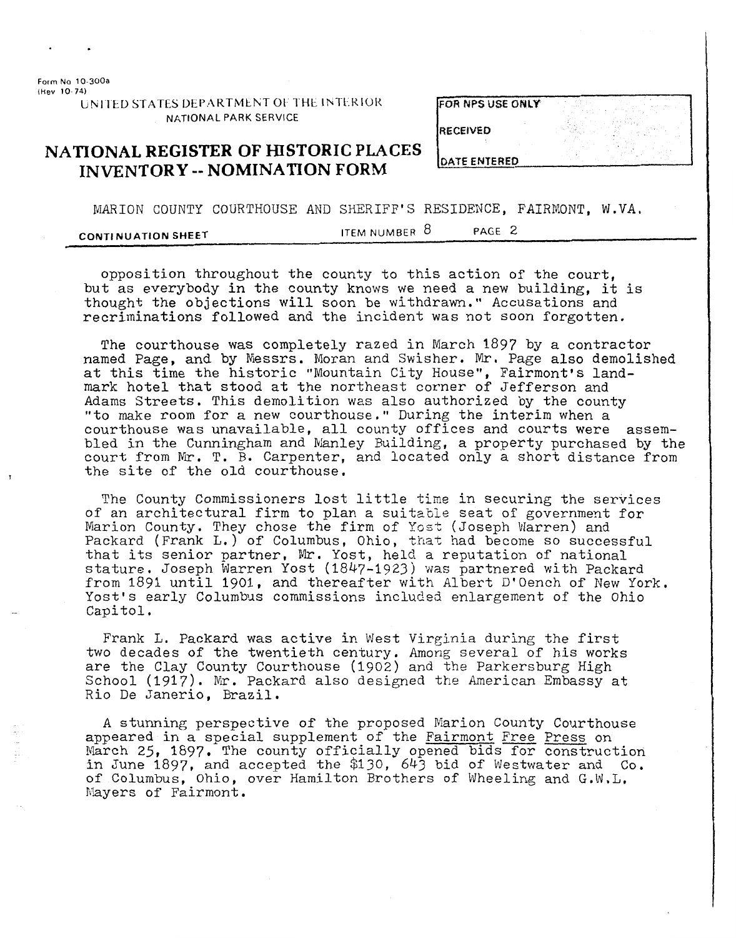**Form No** 10 **300a (hev 10 74)** 

UNITED STATES DEPARTMENT OF THE INTERIOR **NATIONAL PARK SERVICE** 

|  |  |  | <b>FOR NPS USE ONLY</b> |
|--|--|--|-------------------------|
|--|--|--|-------------------------|

**RECEIVED** 

## **NATIONAL REGISTER OF HISTORIC PLACES INVENTORY** -- **NOMINATION FORM**

MARION COUNTY COURTHOUSE AND SHERIFF'S RESIDENCE, FAIRMONT, W.VA.

**CONTINUATION SHEET ITEM NUMBER 8 PAGE 2** 

opposition throughout the county to this action of the court, but as everybody in the county knows we need a new building, it is thought the objections will soon be withdrawn." Accusations and recriminations followed and the incident was not soon forgotten.

The courthouse was completely razed in March 1897 by a contractor named Page, and **by** Messrs. Moran and Swisher. Mr. Page also demolished at this time the historic "Mountain City House", Fairmont's landmark hotel that stood at the northeast corner of Jefferson and Adams Streets. This demolition was also authorized by the county "to make room for a new courthouse," During the interim when a courthouse was unavailable, a11 county offices and courts were assembled in the Cunningham and Manley Building, a property purchased by the court from Mr. T. B. Carpenter, and located only a short distance from the site of the old courthouse.

The County Commissioners lost little time in securing the services of an architectural firm to plan a suitable seat of government for Marion County. They chose the firm of Yost (Joseph Warren) and Packard (Frank L.) of Columbus, Ohio, that had become so successful that its senior partner, Mr. Yost, held a reputation of national stature. Joseph Warren Yost (1847-1923) was partnered with Packard from 1891 until 1901, and thereafter with Albert D'Oench of New York. Yost's early Columbus commissions included enlargement of the Ohio Capitol.

Frank L. Packard was active in West Virginia during the first two decades of the twentieth century. Among several of his works are the Clay County Courthouse (1902) and the Parkersburg High School (1917). Mr. Packard also designed the American Embassy at Rio De Janerio, Brazil,

A stunning perspective of the proposed Marion County Courthouse appeared in a special supplement of the Fairmont Free Press on March 25, **1897.** The county officially opened bids for construction in June 1897, and accepted the \$130, 643 bid of Westwater and Co. of Columbus, Ohio, over Hamilton Brothers of Wheeling and G.W,L. byers of Fairmont .

**DATE ENTERED**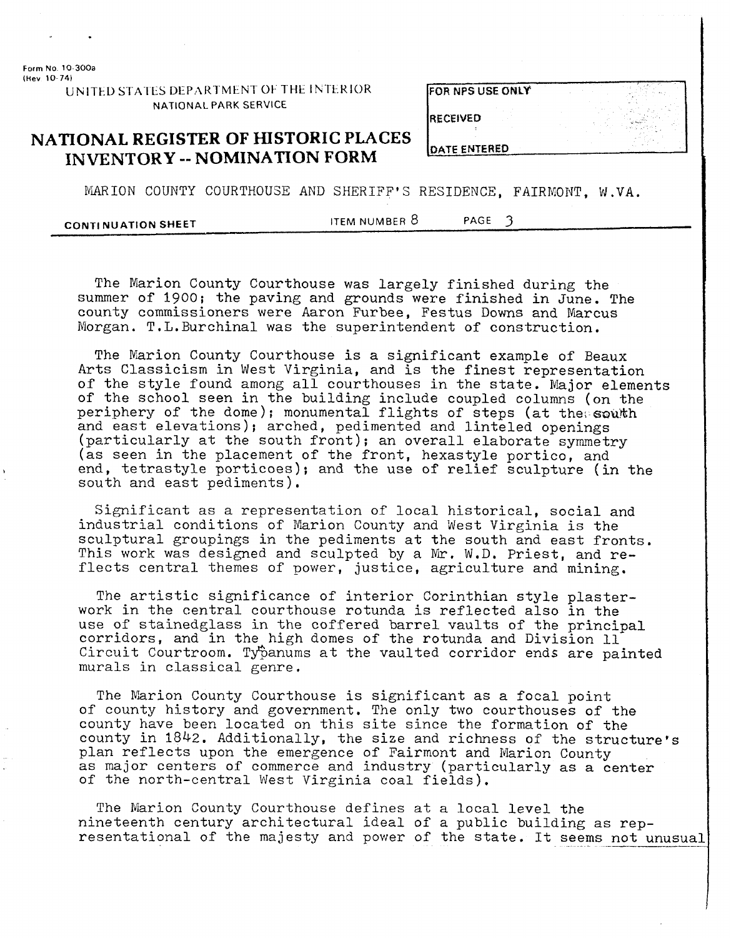**Form No 10 300a (Hev 10 74)** 

> **UNITED STATES DEPARTMENT OF THE INTERIOR NATIONAL PARK SERVICE**

|  |  |  | FOR NPS USE ONLY |
|--|--|--|------------------|
|--|--|--|------------------|

**RECEIVED** 

**DATE ENTERED** 

## **NATIONAL REGISTER OF HISTORIC PLACES INVENTORY -- NOMINATION FORM**

MARION COUNTY COURTHOUSE AND SHERIFF'S RESIDENCE, FAIRMONT, W.VA.

**CONTINUATION SHEET ITEM NUMBER 8 PAGE 3** 

The Marion County Courthouse was largely finished during the summer of 1900; the paving and grounds were finished in June. The county commissioners were Aaron Furbee, Festus Downs and Marcus Morgan. T.L.Burchina1 was the superintendent of construction.

The Marion County Courthouse is a significant example of Beaux Arts Classicism in West Virginia, and is the finest representation of the style found among all courthouses in the state. Major elements of the school seen in the building include coupled columns (on the periphery of the dome); monumental flights of steps (at the south and east elevations); arched, pedimented and linteled openings (particularly at the south front); an overall elaborate symmetry (as seen in the placement of the front, hexastyle portico, and end, tetrastyle porticoes); and the use of relief sculpture (in the south and east pediments).

Significant as a representation of local historical, social and industrial conditions of Marion County and West Virginia is the sculptural groupings in the pediments at the south and east fronts. This work was designed and sculpted by a Mr. W.D. Priest, and reflects central themes of power, justice, agriculture and mining.

The artistic significance of interior Corinthian style plasterwork in the central courthouse rotunda is reflected also in the use of stainedglass in the coffered barrel vaults of the principal corridors, and in the high domes of the rotunda and Division 11 Circuit Courtroom. Typanums at the vaulted corridor ends are painted murals in classical genre.

The Marion County Courthouse is significant as a focal point of county history and government. The only two courthouses of the county have been located on this site since the formation of the county in 1842. Additionally, the size and richness of the structure's plan reflects upon the emergence of Fairmont and Marion County as major centers of commerce and industry (particularly as a center of the north-central West Virginia coal fields).

The Marion County Courthouse defines at a local level the nineteenth century architectural ideal of a public building as representational of the majesty and power of the state. It seems not unusual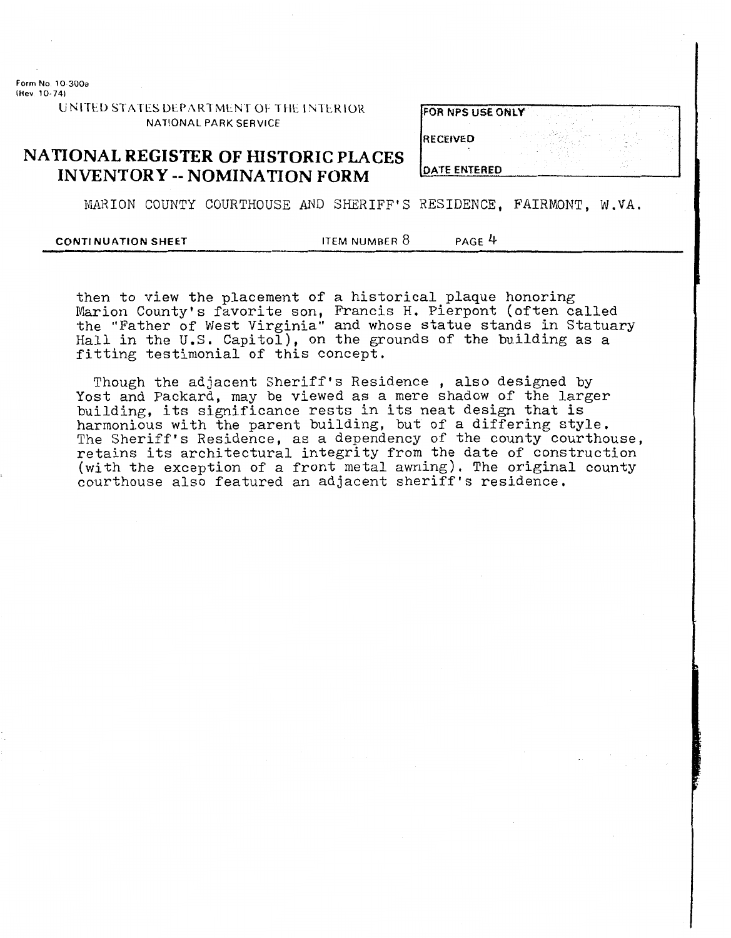**Form No 10-300a (Bev 10-74)** 

| JNITED STATES DEPARTMENT OF THE INTERIOR |  |
|------------------------------------------|--|
| NATIONAL PARK SERVICE                    |  |

| <b>FOR NPS USE ONLY</b> |  |  |
|-------------------------|--|--|
|                         |  |  |
|                         |  |  |
|                         |  |  |

#### **RECEIVED**

**NATIONAL REGISTER OF HISTORIC PLACES INVENTORY** -- **NOMINATION FORM** 

**DATE ENTERED** 

MARION COUNTY COURTHOUSE AND SHERIFF'S RESIDENCE, FAIRMONT, W.VA.

#### **CONTINUATION SHEET ITEM NUMBER 8** PAGE 4

then to view the placement of a historical plaque honoring Marion County's favorite son, Francis H, Pierpont (often called the "Father of West Virginia" and whose statue stands in Statuary Hall in the U.S. Capitol), on the grounds of the building as a fitting testimonial of this concept.

Though the adjacent Sheriff's Residence , also designed by Yost and Packard, may be viewed as a mere shadow of the larger building, its significance rests in its neat design that is harmonious with the parent building, but of a differing style. The Sheriff's Residence, as a dependency of the county courthouse, retains its architectural integrity from the date of construction (with the exception of a front metal awning). The original county courthouse also featured an adjacent sheriff's residence,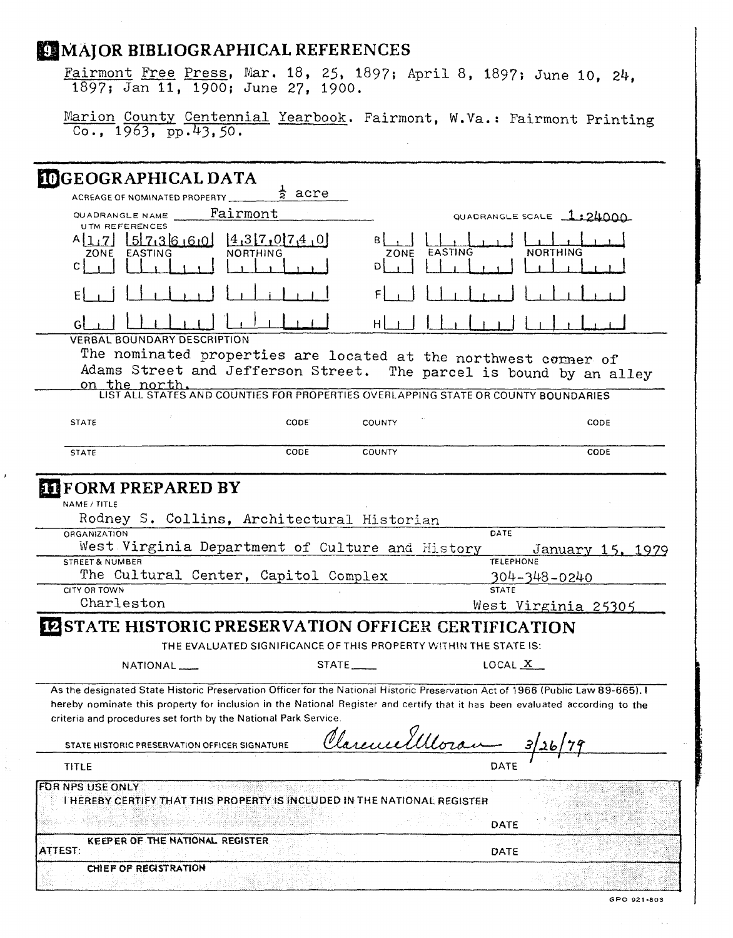| Fairmont Free Press, Mar. 18, 25, 1897; April 8, 1897; June 10, 24.                                                                                                                                                                                                                                                                |                          |                                                                  |                                                          |                  |
|------------------------------------------------------------------------------------------------------------------------------------------------------------------------------------------------------------------------------------------------------------------------------------------------------------------------------------|--------------------------|------------------------------------------------------------------|----------------------------------------------------------|------------------|
| 1897; Jan 11, 1900; June 27, 1900.                                                                                                                                                                                                                                                                                                 |                          |                                                                  |                                                          |                  |
| Marion County Centennial Yearbook. Fairmont, W.Va.: Fairmont Printing<br>$\overline{00, 1963, pp.43, 50.}$                                                                                                                                                                                                                         |                          |                                                                  |                                                          |                  |
| <b>IDGEOGRAPHICAL DATA</b>                                                                                                                                                                                                                                                                                                         |                          |                                                                  |                                                          |                  |
| ACREAGE OF NOMINATED PROPERTY                                                                                                                                                                                                                                                                                                      | $\frac{1}{2}$ acre       |                                                                  |                                                          |                  |
| QUADRANGLE NAME<br><b>UTM REFERENCES</b>                                                                                                                                                                                                                                                                                           | Fairmont                 |                                                                  | QUADRANGLE SCALE 1:24000                                 |                  |
| $A[1,7]$ $5[7,36,6,0]$ $4,3[7,0]7,4,0$<br>EASTING<br>ZONE                                                                                                                                                                                                                                                                          | NORTHING                 | EASTING<br>ZONE                                                  | <b>NORTHING</b>                                          |                  |
|                                                                                                                                                                                                                                                                                                                                    |                          |                                                                  |                                                          |                  |
|                                                                                                                                                                                                                                                                                                                                    |                          |                                                                  |                                                          |                  |
| <b>VERBAL BOUNDARY DESCRIPTION</b>                                                                                                                                                                                                                                                                                                 |                          |                                                                  |                                                          |                  |
| The nominated properties are located at the northwest corner of<br>Adams Street and Jefferson Street. The parcel is bound by an alley<br>on the north.                                                                                                                                                                             |                          |                                                                  |                                                          |                  |
| LIST ALL STATES AND COUNTIES FOR PROPERTIES OVERLAPPING STATE OR COUNTY BOUNDARIES                                                                                                                                                                                                                                                 |                          |                                                                  |                                                          |                  |
| <b>STATE</b>                                                                                                                                                                                                                                                                                                                       | CODE <sup>®</sup>        | <b>COUNTY</b>                                                    |                                                          | CODE             |
|                                                                                                                                                                                                                                                                                                                                    |                          |                                                                  |                                                          |                  |
| <b>STATE</b>                                                                                                                                                                                                                                                                                                                       | CODE                     | <b>COUNTY</b>                                                    |                                                          | CODE             |
| <b>ELIFORM PREPARED BY</b><br>NAME / TITLE<br>Rodney S. Collins, Architectural Historian<br><b>ORGANIZATION</b><br>West Virginia Department of Culture and History<br><b>STREET &amp; NUMBER</b><br>The Cultural Center, Capitol Complex<br>CITY OR TOWN                                                                           |                          |                                                                  | DATE<br><b>TELEPHONE</b><br>304-348-0240<br><b>STATE</b> | January 15, 1979 |
| Charleston                                                                                                                                                                                                                                                                                                                         |                          |                                                                  | West Virginia 25305                                      |                  |
| <b>EPSTATE HISTORIC PRESERVATION OFFICER CERTIFICATION</b>                                                                                                                                                                                                                                                                         |                          |                                                                  |                                                          |                  |
|                                                                                                                                                                                                                                                                                                                                    |                          | THE EVALUATED SIGNIFICANCE OF THIS PROPERTY WITHIN THE STATE IS: |                                                          |                  |
| NATIONAL <sub>__</sub>                                                                                                                                                                                                                                                                                                             | $STATE$ <sub>_____</sub> |                                                                  | LOCAL X                                                  |                  |
| As the designated State Historic Preservation Officer for the National Historic Preservation Act of 1966 (Public Law 89-665), I<br>hereby nominate this property for inclusion in the National Register and certify that it has been evaluated according to the<br>criteria and procedures set forth by the National Park Service. |                          |                                                                  |                                                          |                  |
| STATE HISTORIC PRESERVATION OFFICER SIGNATURE                                                                                                                                                                                                                                                                                      |                          |                                                                  |                                                          |                  |
| <b>TITLE</b>                                                                                                                                                                                                                                                                                                                       |                          | Clarence Ulloran                                                 | DATE                                                     |                  |
|                                                                                                                                                                                                                                                                                                                                    |                          |                                                                  |                                                          |                  |
| FOR NPS USE ONLY<br>THEREBY CERTIFY THAT THIS PROPERTY IS INCLUDED IN THE NATIONAL REGISTER                                                                                                                                                                                                                                        |                          |                                                                  | DATE                                                     |                  |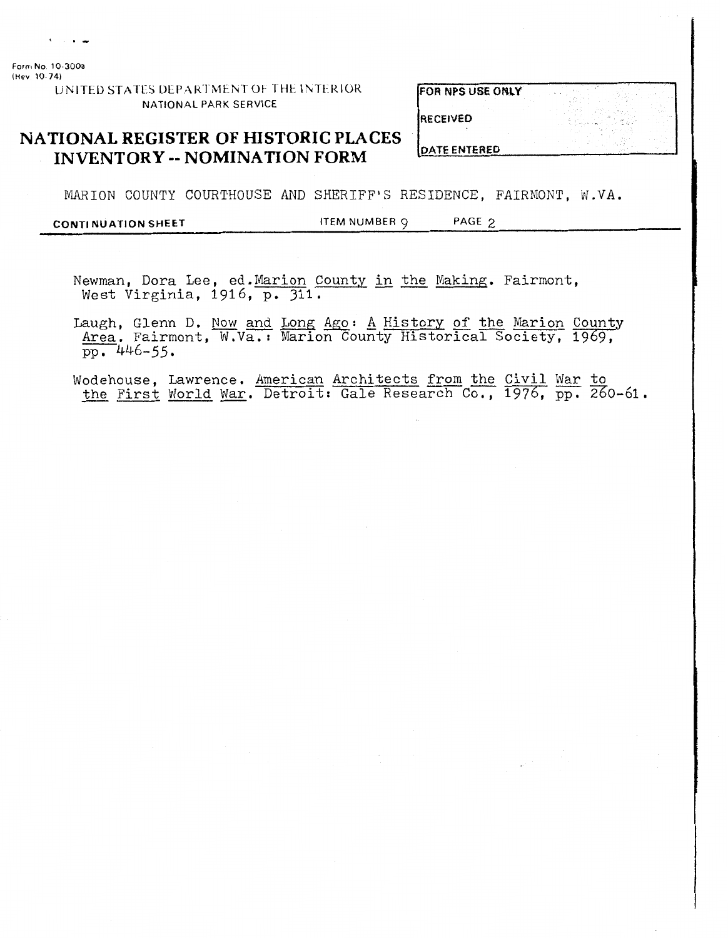$\sqrt{2}$  and  $\sqrt{2}$ 

**Form No 10 300a (Hev 10 74)** 

**UNITED STATES DEPARTMENT OF THE INTERIOR** NATIONAL PARK SERVICE

|  |  | <b>FOR NPS USE ONLY</b> |  |
|--|--|-------------------------|--|
|  |  |                         |  |

**RECEIVED** 

#### **NATIONAL REGISTER OF HISTORIC PLACES INVENTORY** -- **NOMINATION FORM**

**DATE ENTERED** 

MARION COUNTY COURTHOUSE AND SHERIFF'S RESIDENCE, FAIRMONT, W.VA.

**CONTl NU ATlON SHEET** ITEM NUMBER 9 PAGE *9* 

Newman, Dora Lee, ed. Marion County in the Making. Fairmont, West Virginia, 1916, p. 311.

lewman, Dora Lee, ed. Marion County in the Making. Fairmont,<br>West Virginia, 1916, p. 311.<br>Laugh, Glenn D. <u>Now and Long Ago</u>: <u>A History of the Marion County</u><br>Area. Fairmont, W.Va.: Marion County Historical Society, 1969, <u>\rea</u>. Fairmon<br>pp. 446-55. Laugh, Glenn D. Now and Long Ago: A History of the Marion County<br>Area. Fairmont, W.Va.: Marion County Historical Society, 1969,<br>pp. 446-55.<br>Modehouse, Lawrence. American Architects from the Civil War to<br>the First World War

pp. 446-55.<br>Wodehouse, Lawrence. <u>American Architects from the Civil War to</u><br>the First World War. Detroit: Gale Research Co., 1976, pp. 260-61.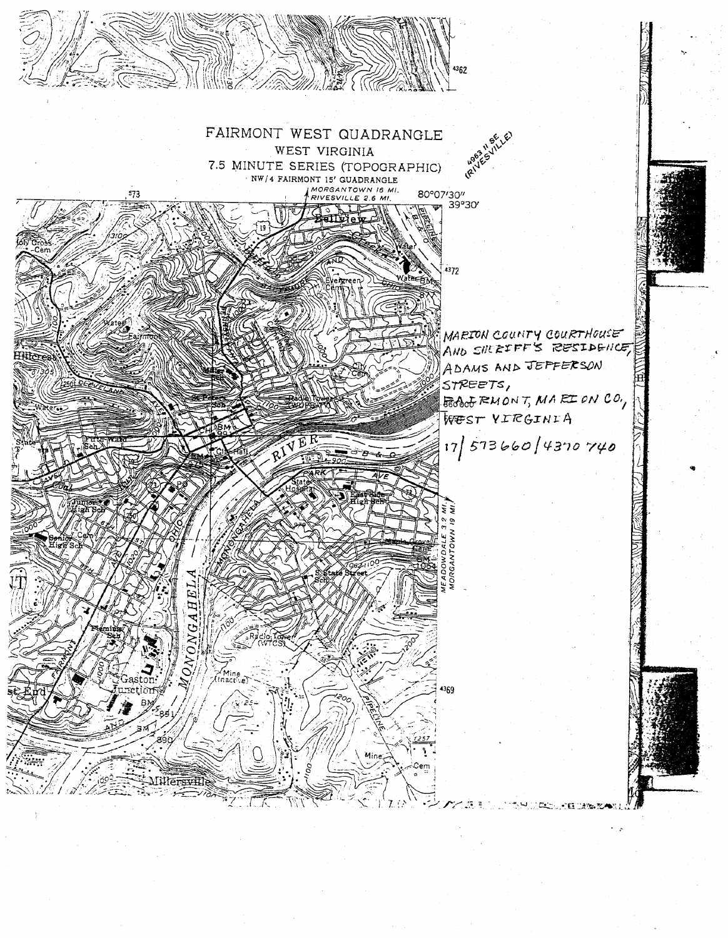